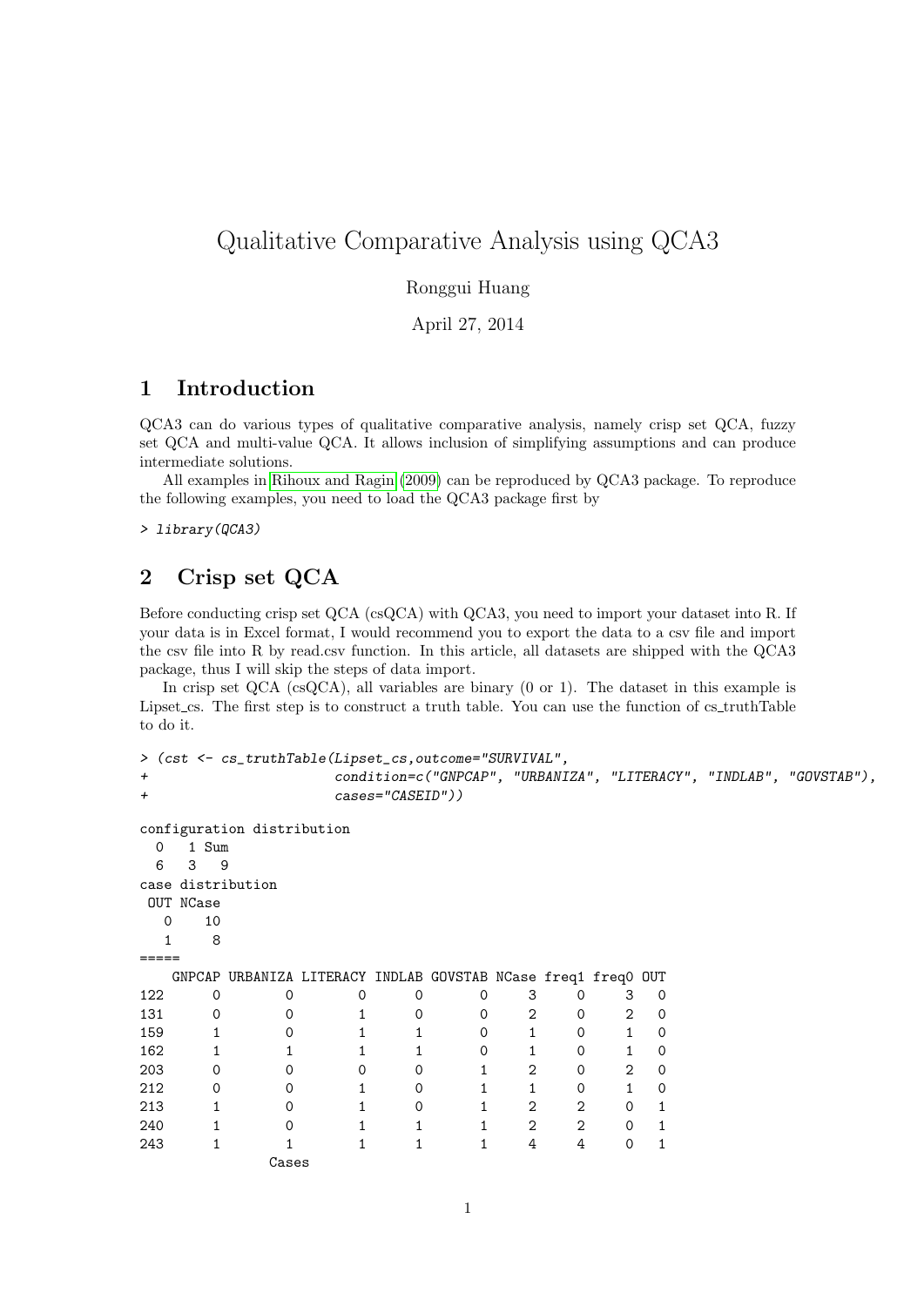# Qualitative Comparative Analysis using QCA3

Ronggui Huang

April 27, 2014

# 1 Introduction

QCA3 can do various types of qualitative comparative analysis, namely crisp set QCA, fuzzy set QCA and multi-value QCA. It allows inclusion of simplifying assumptions and can produce intermediate solutions.

All examples in [Rihoux and Ragin](#page-9-0) [\(2009\)](#page-9-0) can be reproduced by QCA3 package. To reproduce the following examples, you need to load the QCA3 package first by

> library(QCA3)

# 2 Crisp set QCA

Cases

Before conducting crisp set QCA (csQCA) with QCA3, you need to import your dataset into R. If your data is in Excel format, I would recommend you to export the data to a csv file and import the csv file into R by read.csv function. In this article, all datasets are shipped with the QCA3 package, thus I will skip the steps of data import.

In crisp set QCA (csQCA), all variables are binary (0 or 1). The dataset in this example is Lipset cs. The first step is to construct a truth table. You can use the function of cs\_truthTable to do it.

```
> (cst <- cs_truthTable(Lipset_cs,outcome="SURVIVAL",
+ condition=c("GNPCAP", "URBANIZA", "LITERACY", "INDLAB", "GOVSTAB"),
+ cases="CASEID"))
configuration distribution
0 1 Sum
 6 3 9
case distribution
OUT NCase
 0 10
 1 8
=====
  GNPCAP URBANIZA LITERACY INDLAB GOVSTAB NCase freq1 freq0 OUT
122 0 0 0 0 0 3 0 3 0
131 0 0 1 0 0 2 0 2 0
159 1 0 1 1 0 1 0 1 0
162 1 1 1 1 0 1 0 1 0
203 0 0 0 0 1 2 0 2 0
212 0 0 1 0 1 1 0 1 0
213 1 0 1 0 1 2 2 0 1
240 1 0 1 1 1 2 2 0 1
243 1 1 1 1 1 4 4 0 1
```
1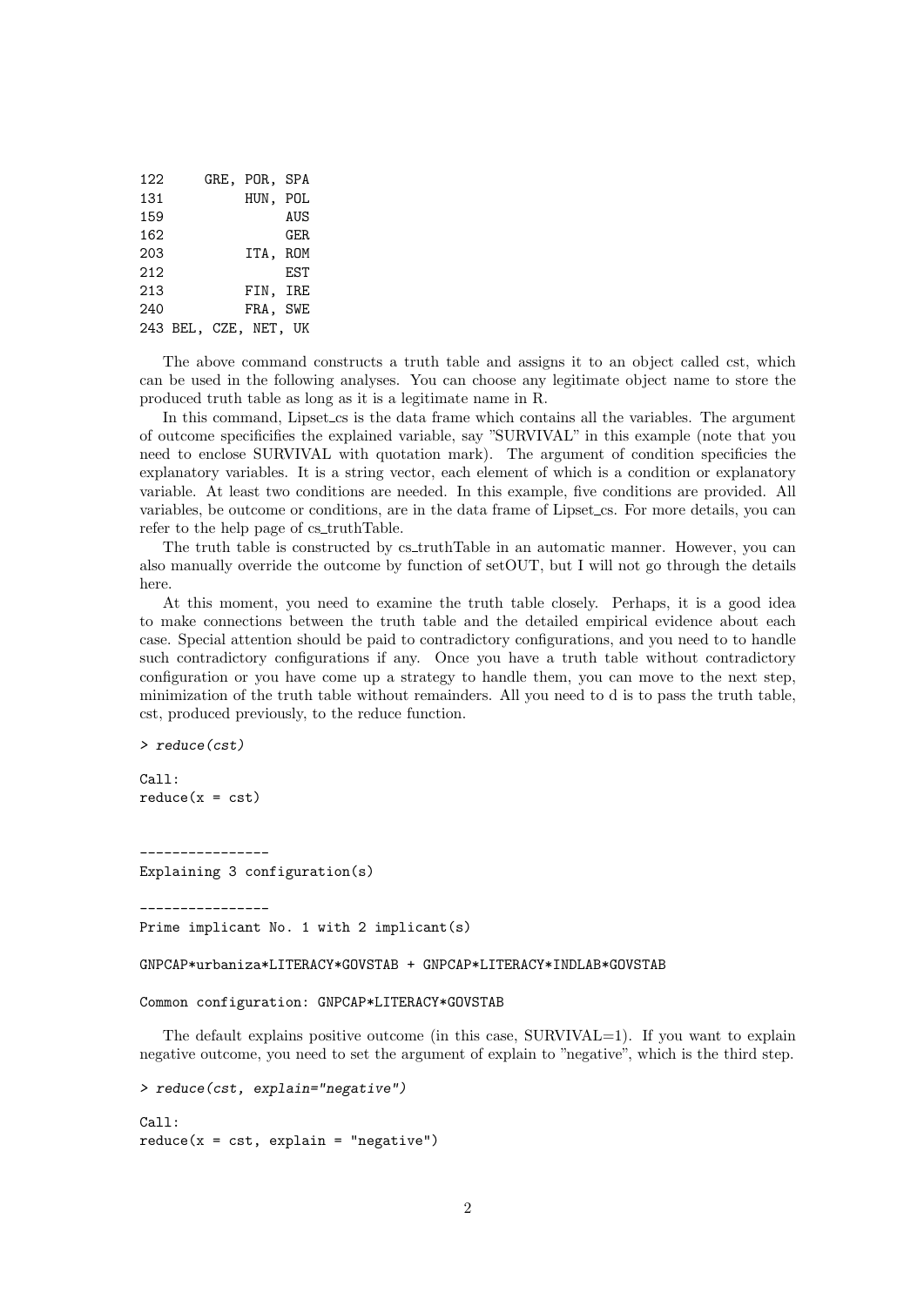| 122 |                       | GRE, POR, SPA |      |
|-----|-----------------------|---------------|------|
| 131 |                       | HUN, POL      |      |
| 159 |                       |               | AUS  |
| 162 |                       |               | GER. |
| 203 |                       | ITA. ROM      |      |
| 212 |                       |               | EST  |
| 213 |                       | FIN, IRE      |      |
| 240 |                       | FRA, SWE      |      |
|     | 243 BEL, CZE, NET, UK |               |      |

The above command constructs a truth table and assigns it to an object called cst, which can be used in the following analyses. You can choose any legitimate object name to store the produced truth table as long as it is a legitimate name in R.

In this command, Lipset cs is the data frame which contains all the variables. The argument of outcome specificifies the explained variable, say "SURVIVAL" in this example (note that you need to enclose SURVIVAL with quotation mark). The argument of condition specificies the explanatory variables. It is a string vector, each element of which is a condition or explanatory variable. At least two conditions are needed. In this example, five conditions are provided. All variables, be outcome or conditions, are in the data frame of Lipset cs. For more details, you can refer to the help page of cs\_truthTable.

The truth table is constructed by cs truthTable in an automatic manner. However, you can also manually override the outcome by function of setOUT, but I will not go through the details here.

At this moment, you need to examine the truth table closely. Perhaps, it is a good idea to make connections between the truth table and the detailed empirical evidence about each case. Special attention should be paid to contradictory configurations, and you need to to handle such contradictory configurations if any. Once you have a truth table without contradictory configuration or you have come up a strategy to handle them, you can move to the next step, minimization of the truth table without remainders. All you need to d is to pass the truth table, cst, produced previously, to the reduce function.

```
> reduce(cst)
```

```
Call:
reduce(x = cst)
```
----------------

----------------

Explaining 3 configuration(s)

Prime implicant No. 1 with 2 implicant(s)

GNPCAP\*urbaniza\*LITERACY\*GOVSTAB + GNPCAP\*LITERACY\*INDLAB\*GOVSTAB

```
Common configuration: GNPCAP*LITERACY*GOVSTAB
```
The default explains positive outcome (in this case, SURVIVAL=1). If you want to explain negative outcome, you need to set the argument of explain to "negative", which is the third step.

```
> reduce(cst, explain="negative")
Ca11:reduce(x = cst, explain = "negative")
```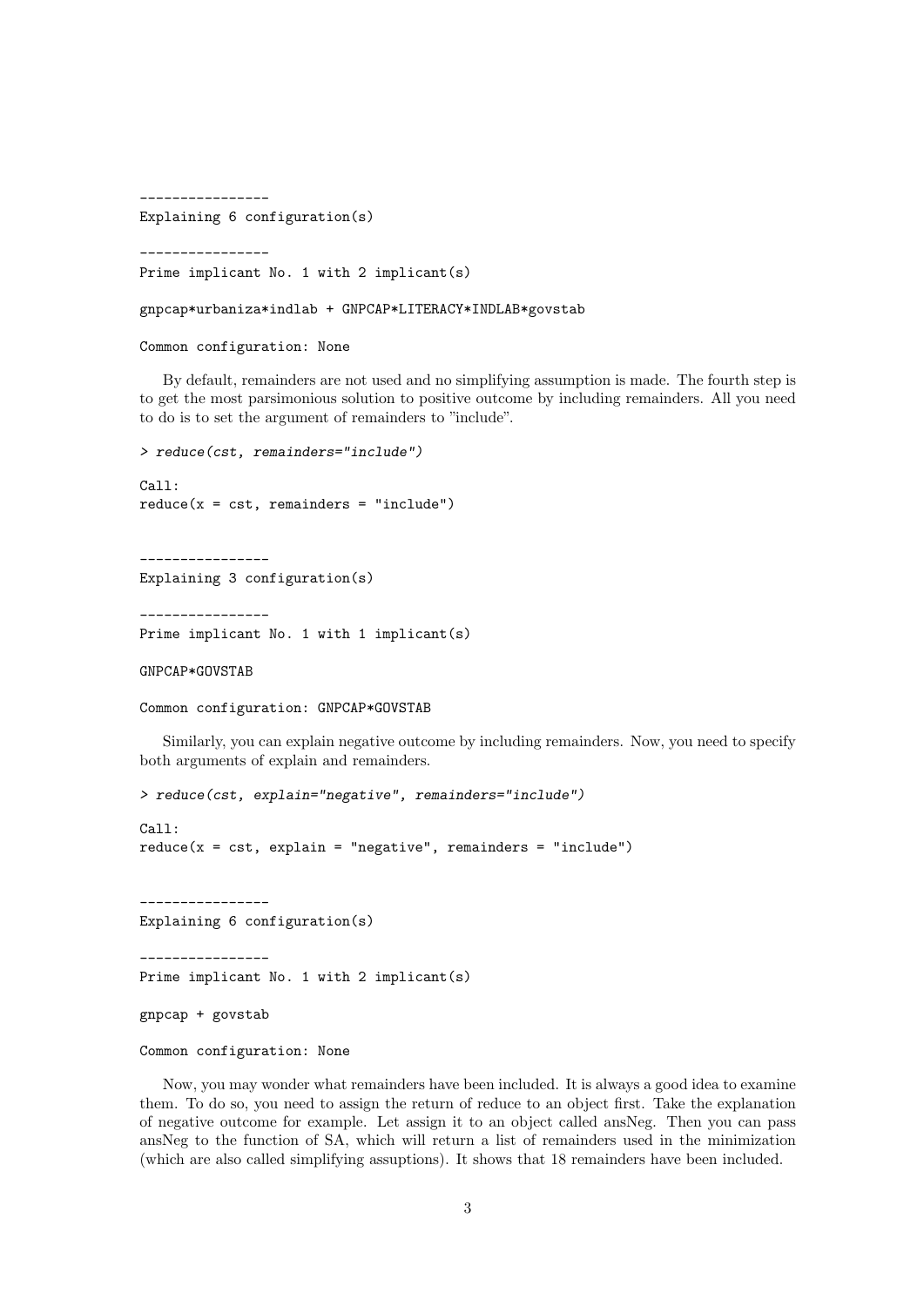----------------

Explaining 6 configuration(s)

---------------- Prime implicant No. 1 with 2 implicant(s)

gnpcap\*urbaniza\*indlab + GNPCAP\*LITERACY\*INDLAB\*govstab

Common configuration: None

By default, remainders are not used and no simplifying assumption is made. The fourth step is to get the most parsimonious solution to positive outcome by including remainders. All you need to do is to set the argument of remainders to "include".

```
> reduce(cst, remainders="include")
```

```
Ca11:reduce(x = cst, remainders = "include")
```

```
----------------
Explaining 3 configuration(s)
```
----------------

```
Prime implicant No. 1 with 1 implicant(s)
```
GNPCAP\*GOVSTAB

Common configuration: GNPCAP\*GOVSTAB

Similarly, you can explain negative outcome by including remainders. Now, you need to specify both arguments of explain and remainders.

> reduce(cst, explain="negative", remainders="include")

 $Ca11:$  $reduce(x = cst, explain = "negative", remainders = "include")$ 

---------------- Explaining 6 configuration(s)

```
----------------
Prime implicant No. 1 with 2 implicant(s)
```
gnpcap + govstab

#### Common configuration: None

Now, you may wonder what remainders have been included. It is always a good idea to examine them. To do so, you need to assign the return of reduce to an object first. Take the explanation of negative outcome for example. Let assign it to an object called ansNeg. Then you can pass ansNeg to the function of SA, which will return a list of remainders used in the minimization (which are also called simplifying assuptions). It shows that 18 remainders have been included.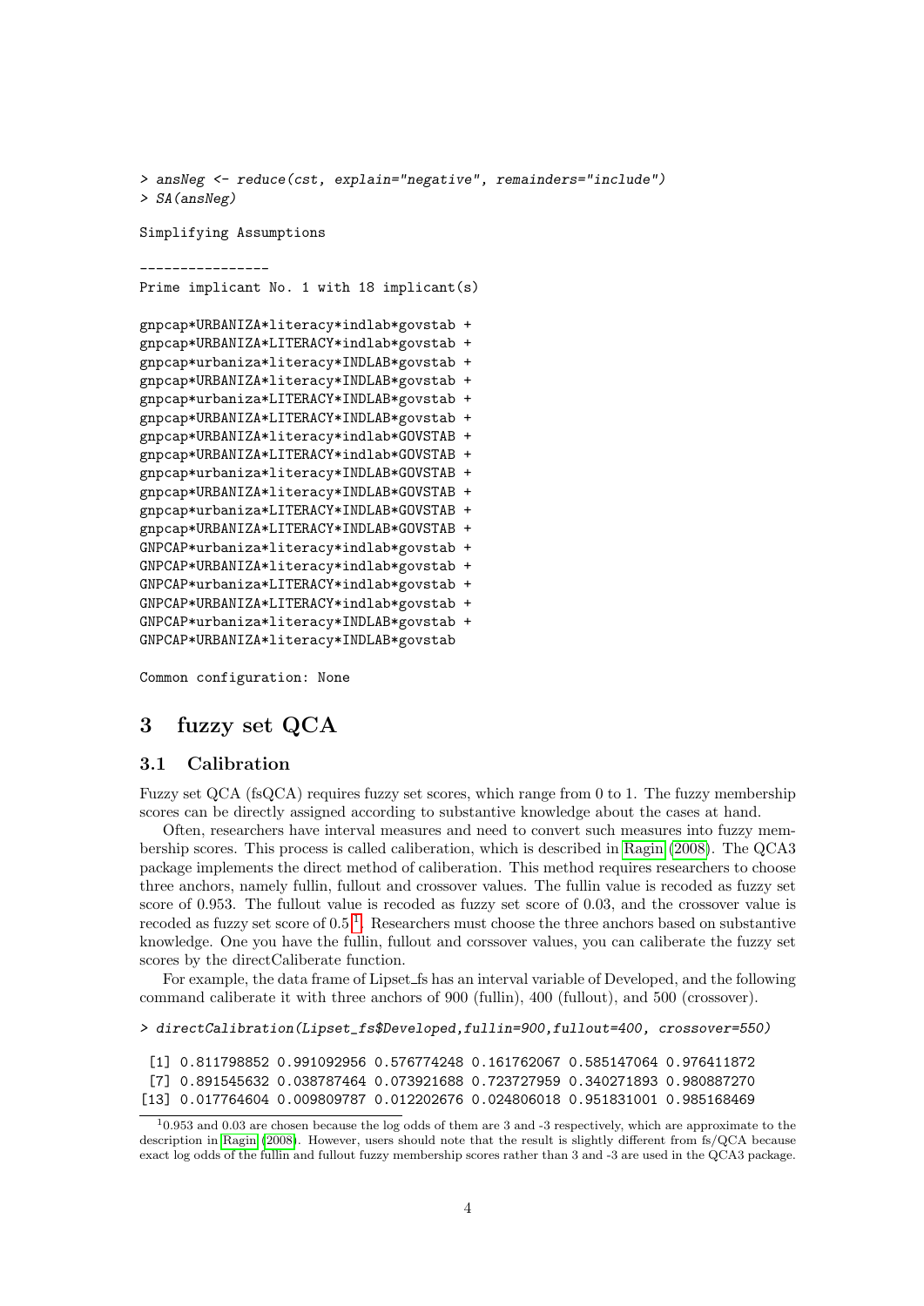```
> ansNeg <- reduce(cst, explain="negative", remainders="include")
> SA(ansNeg)
Simplifying Assumptions
----------------
Prime implicant No. 1 with 18 implicant(s)
gnpcap*URBANIZA*literacy*indlab*govstab +
gnpcap*URBANIZA*LITERACY*indlab*govstab +
gnpcap*urbaniza*literacy*INDLAB*govstab +
gnpcap*URBANIZA*literacy*INDLAB*govstab +
gnpcap*urbaniza*LITERACY*INDLAB*govstab +
gnpcap*URBANIZA*LITERACY*INDLAB*govstab +
gnpcap*URBANIZA*literacy*indlab*GOVSTAB +
gnpcap*URBANIZA*LITERACY*indlab*GOVSTAB +
gnpcap*urbaniza*literacy*INDLAB*GOVSTAB +
gnpcap*URBANIZA*literacy*INDLAB*GOVSTAB +
gnpcap*urbaniza*LITERACY*INDLAB*GOVSTAB +
gnpcap*URBANIZA*LITERACY*INDLAB*GOVSTAB +
GNPCAP*urbaniza*literacy*indlab*govstab +
GNPCAP*URBANIZA*literacy*indlab*govstab +
GNPCAP*urbaniza*LITERACY*indlab*govstab +
GNPCAP*URBANIZA*LITERACY*indlab*govstab +
GNPCAP*urbaniza*literacy*INDLAB*govstab +
GNPCAP*URBANIZA*literacy*INDLAB*govstab
```
Common configuration: None

## 3 fuzzy set QCA

### 3.1 Calibration

Fuzzy set QCA (fsQCA) requires fuzzy set scores, which range from 0 to 1. The fuzzy membership scores can be directly assigned according to substantive knowledge about the cases at hand.

Often, researchers have interval measures and need to convert such measures into fuzzy membership scores. This process is called caliberation, which is described in [Ragin](#page-9-1) [\(2008\)](#page-9-1). The QCA3 package implements the direct method of caliberation. This method requires researchers to choose three anchors, namely fullin, fullout and crossover values. The fullin value is recoded as fuzzy set score of 0.953. The fullout value is recoded as fuzzy set score of 0.03, and the crossover value is recoded as fuzzy set score of 0.5<sup>[1](#page-3-0)</sup>. Researchers must choose the three anchors based on substantive knowledge. One you have the fullin, fullout and corssover values, you can caliberate the fuzzy set scores by the directCaliberate function.

For example, the data frame of Lipset fs has an interval variable of Developed, and the following command caliberate it with three anchors of 900 (fullin), 400 (fullout), and 500 (crossover).

> directCalibration(Lipset\_fs\$Developed,fullin=900,fullout=400, crossover=550)

```
[1] 0.811798852 0.991092956 0.576774248 0.161762067 0.585147064 0.976411872
[7] 0.891545632 0.038787464 0.073921688 0.723727959 0.340271893 0.980887270
[13] 0.017764604 0.009809787 0.012202676 0.024806018 0.951831001 0.985168469
```
<span id="page-3-0"></span><sup>1</sup>0.953 and 0.03 are chosen because the log odds of them are 3 and -3 respectively, which are approximate to the description in [Ragin](#page-9-1) [\(2008\)](#page-9-1). However, users should note that the result is slightly different from fs/QCA because exact log odds of the fullin and fullout fuzzy membership scores rather than 3 and -3 are used in the QCA3 package.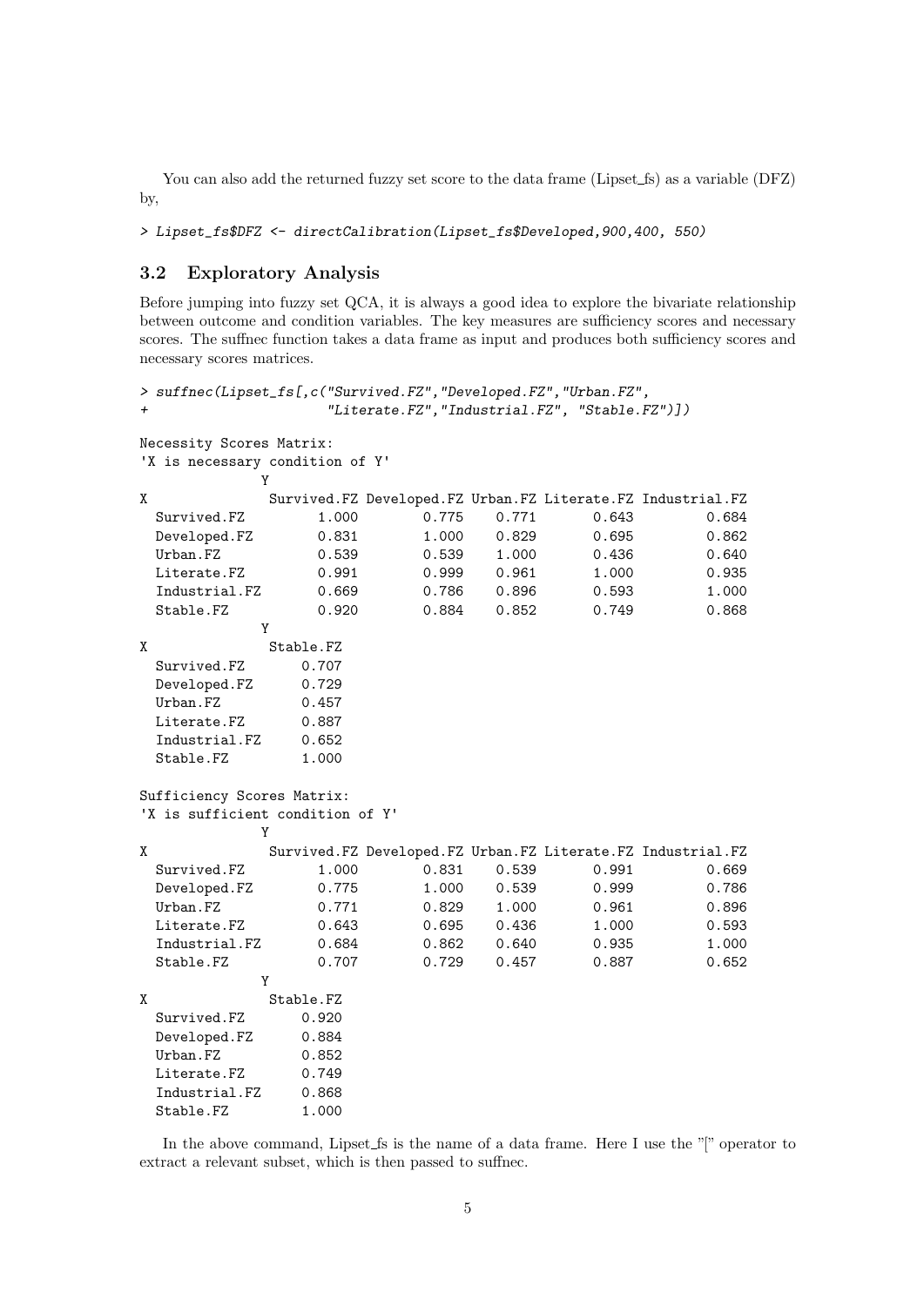You can also add the returned fuzzy set score to the data frame (Lipset fs) as a variable (DFZ) by,

> Lipset\_fs\$DFZ <- directCalibration(Lipset\_fs\$Developed,900,400, 550)

### 3.2 Exploratory Analysis

Before jumping into fuzzy set QCA, it is always a good idea to explore the bivariate relationship between outcome and condition variables. The key measures are sufficiency scores and necessary scores. The suffnec function takes a data frame as input and produces both sufficiency scores and necessary scores matrices.

```
> suffnec(Lipset_fs[,c("Survived.FZ","Developed.FZ","Urban.FZ",
+ "Literate.FZ","Industrial.FZ", "Stable.FZ")])
Necessity Scores Matrix:
'X is necessary condition of Y'
          Y
X Survived.FZ Developed.FZ Urban.FZ Literate.FZ Industrial.FZ
 Survived.FZ 1.000 0.775 0.771 0.643 0.684
 Developed.FZ 0.831 1.000 0.829 0.695 0.862
 Urban.FZ 0.539 0.539 1.000 0.436 0.640
 Literate.FZ 0.991 0.999 0.961 1.000 0.935
 Industrial.FZ 0.669 0.786 0.896 0.593 1.000
 Stable.FZ 0.920 0.884 0.852 0.749 0.868
          Y
X Stable.FZ
 Survived.FZ 0.707
 Developed.FZ 0.729
 Urban.FZ 0.457
 Literate.FZ 0.887
 Industrial.FZ 0.652
 Stable.FZ 1.000
Sufficiency Scores Matrix:
'X is sufficient condition of Y'
          Y
X Survived.FZ Developed.FZ Urban.FZ Literate.FZ Industrial.FZ
 Survived.FZ 1.000 0.831 0.539 0.991 0.669
 Developed.FZ 0.775 1.000 0.539 0.999 0.786
 Urban.FZ 0.771 0.829 1.000 0.961 0.896
 Literate.FZ 0.643 0.695 0.436 1.000 0.593
 Industrial.FZ 0.684 0.862 0.640 0.935 1.000
 Stable.FZ 0.707 0.729 0.457 0.887 0.652
          Y
X Stable.FZ
 Survived.FZ 0.920
 Developed.FZ 0.884
 Urban.FZ 0.852
 Literate.FZ 0.749
 Industrial.FZ 0.868
 Stable.FZ 1.000
```
In the above command, Lipset fs is the name of a data frame. Here I use the "[" operator to extract a relevant subset, which is then passed to suffnec.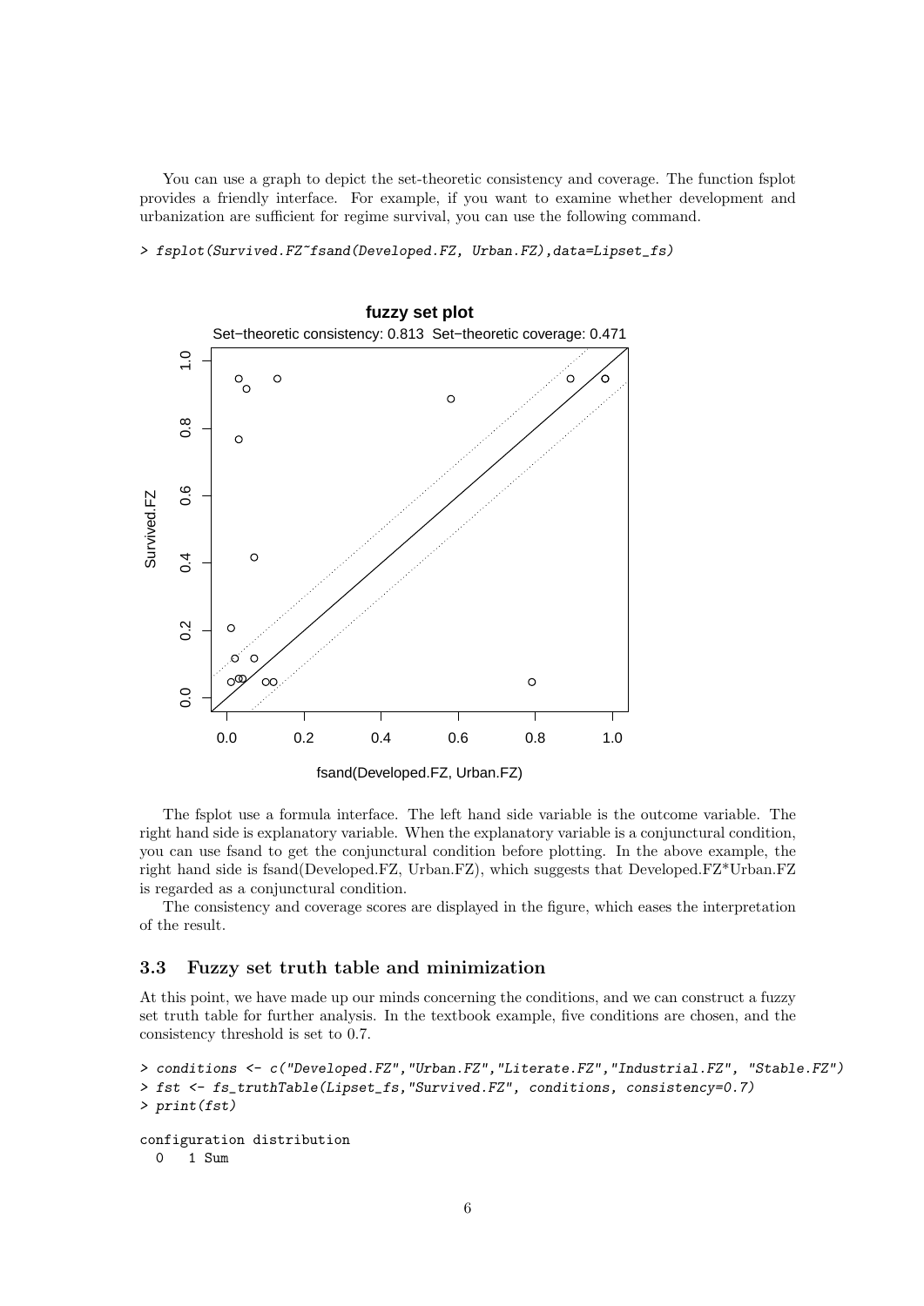You can use a graph to depict the set-theoretic consistency and coverage. The function fsplot provides a friendly interface. For example, if you want to examine whether development and urbanization are sufficient for regime survival, you can use the following command.

> fsplot(Survived.FZ~fsand(Developed.FZ, Urban.FZ),data=Lipset\_fs)



The fsplot use a formula interface. The left hand side variable is the outcome variable. The right hand side is explanatory variable. When the explanatory variable is a conjunctural condition, you can use fsand to get the conjunctural condition before plotting. In the above example, the right hand side is fsand(Developed.FZ, Urban.FZ), which suggests that Developed.FZ\*Urban.FZ is regarded as a conjunctural condition.

The consistency and coverage scores are displayed in the figure, which eases the interpretation of the result.

### 3.3 Fuzzy set truth table and minimization

At this point, we have made up our minds concerning the conditions, and we can construct a fuzzy set truth table for further analysis. In the textbook example, five conditions are chosen, and the consistency threshold is set to 0.7.

```
> conditions <- c("Developed.FZ","Urban.FZ","Literate.FZ","Industrial.FZ", "Stable.FZ")
> fst <- fs_truthTable(Lipset_fs,"Survived.FZ", conditions, consistency=0.7)
> print(fst)
configuration distribution
```

```
0 1 Sum
```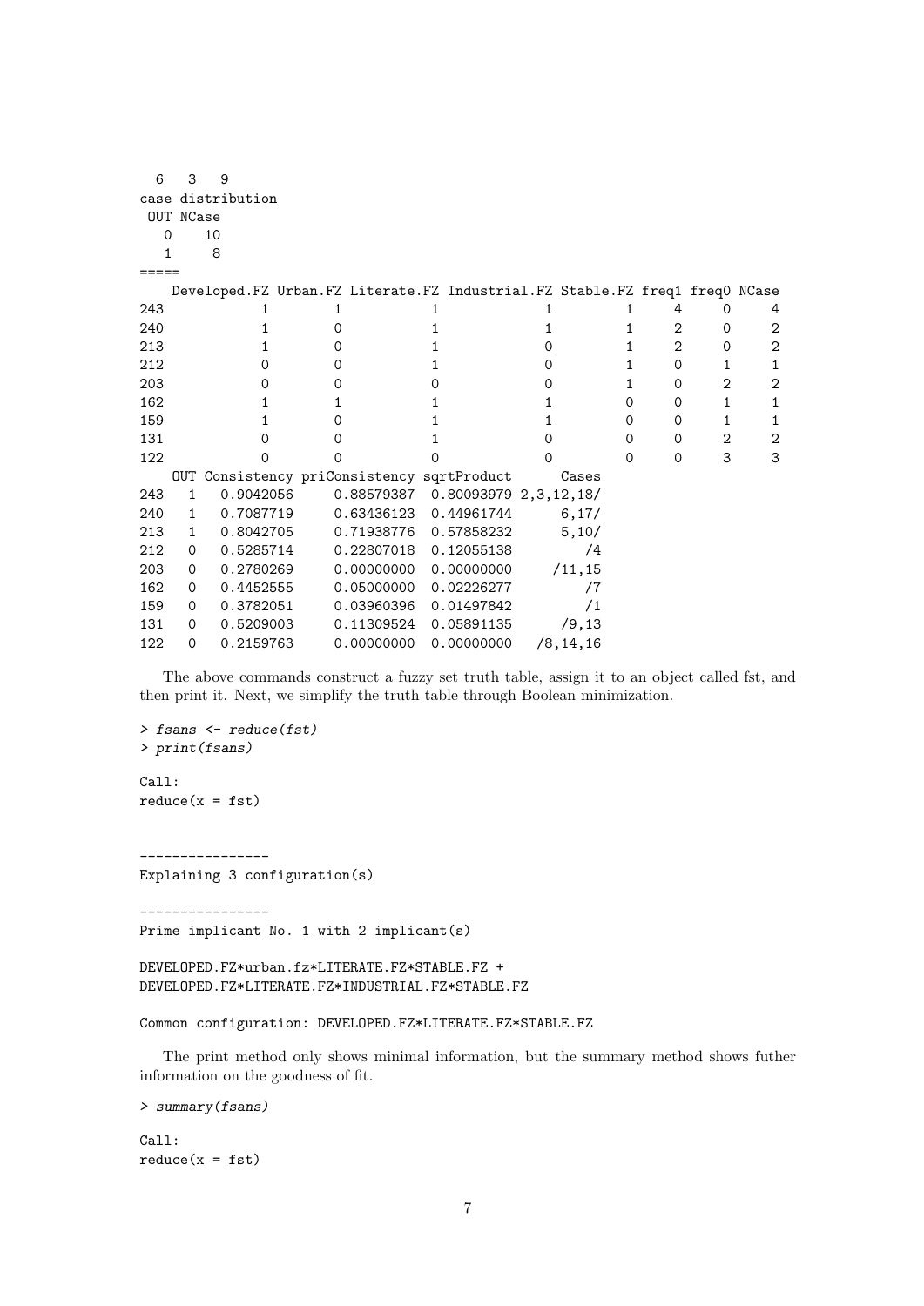| 6        | 3                 | 9         |   |            |                                                                             |          |          |          |   |   |  |  |  |
|----------|-------------------|-----------|---|------------|-----------------------------------------------------------------------------|----------|----------|----------|---|---|--|--|--|
|          | case distribution |           |   |            |                                                                             |          |          |          |   |   |  |  |  |
|          | OUT NCase         |           |   |            |                                                                             |          |          |          |   |   |  |  |  |
| $\Omega$ |                   | 10        |   |            |                                                                             |          |          |          |   |   |  |  |  |
| 1        |                   | 8         |   |            |                                                                             |          |          |          |   |   |  |  |  |
|          |                   |           |   |            |                                                                             |          |          |          |   |   |  |  |  |
|          |                   |           |   |            | Developed.FZ Urban.FZ Literate.FZ Industrial.FZ Stable.FZ freq1 freq0 NCase |          |          |          |   |   |  |  |  |
| 243      |                   |           | 1 |            |                                                                             |          | 1        | 4        | O | 4 |  |  |  |
| 240      |                   |           | 0 |            |                                                                             |          | 1        | 2        | 0 | 2 |  |  |  |
| 213      |                   |           | 0 |            |                                                                             | $\Omega$ | 1        | 2        | 0 | 2 |  |  |  |
| 212      |                   | 0         | 0 |            |                                                                             | 0        | 1        | 0        | 1 | 1 |  |  |  |
| 203      |                   | 0         | 0 |            | 0                                                                           | 0        | 1        | 0        | 2 | 2 |  |  |  |
| 162      |                   |           | 1 |            |                                                                             |          | 0        | 0        | 1 | 1 |  |  |  |
| 159      |                   |           | 0 |            |                                                                             |          | $\Omega$ | $\Omega$ | 1 | 1 |  |  |  |
| 131      |                   |           |   |            |                                                                             |          | $\Omega$ | $\Omega$ | 2 | 2 |  |  |  |
| 122      |                   | 0         | Ω |            | Ω                                                                           | 0        | $\Omega$ | $\Omega$ | 3 | 3 |  |  |  |
|          |                   |           |   |            | OUT Consistency priConsistency sqrtProduct                                  |          | Cases    |          |   |   |  |  |  |
| 243      | $\mathbf{1}$      | 0.9042056 |   | 0.88579387 | 0.80093979 2,3,12,18/                                                       |          |          |          |   |   |  |  |  |
| 240      | $\mathbf{1}$      | 0.7087719 |   | 0.63436123 | 0.44961744                                                                  |          | 6,17/    |          |   |   |  |  |  |
| 213      | $\mathbf{1}$      | 0.8042705 |   | 0.71938776 | 0.57858232                                                                  |          | 5,10/    |          |   |   |  |  |  |
| 212      | $\Omega$          | 0.5285714 |   | 0.22807018 | 0.12055138                                                                  |          | /4       |          |   |   |  |  |  |
| 203      | $\Omega$          | 0.2780269 |   | 0.00000000 | 0.00000000                                                                  |          | /11,15   |          |   |   |  |  |  |
| 162      | 0                 | 0.4452555 |   | 0.05000000 | 0.02226277                                                                  |          | 77       |          |   |   |  |  |  |
| 159      | $\Omega$          | 0.3782051 |   | 0.03960396 | 0.01497842                                                                  |          | /1       |          |   |   |  |  |  |
| 131      | 0                 | 0.5209003 |   | 0.11309524 | 0.05891135                                                                  |          | /9,13    |          |   |   |  |  |  |
| 122      | $\Omega$          | 0.2159763 |   | 0.00000000 | 0.00000000                                                                  |          | /8,14,16 |          |   |   |  |  |  |

The above commands construct a fuzzy set truth table, assign it to an object called fst, and then print it. Next, we simplify the truth table through Boolean minimization.

```
> fsans <- reduce(fst)
> print(fsans)
Call:
reduce(x = fst)
```
----------------

Explaining 3 configuration(s)

---------------- Prime implicant No. 1 with 2 implicant(s)

DEVELOPED.FZ\*urban.fz\*LITERATE.FZ\*STABLE.FZ + DEVELOPED.FZ\*LITERATE.FZ\*INDUSTRIAL.FZ\*STABLE.FZ

```
Common configuration: DEVELOPED.FZ*LITERATE.FZ*STABLE.FZ
```
The print method only shows minimal information, but the summary method shows futher information on the goodness of fit.

> summary(fsans)

Call:  $reduce(x = fst)$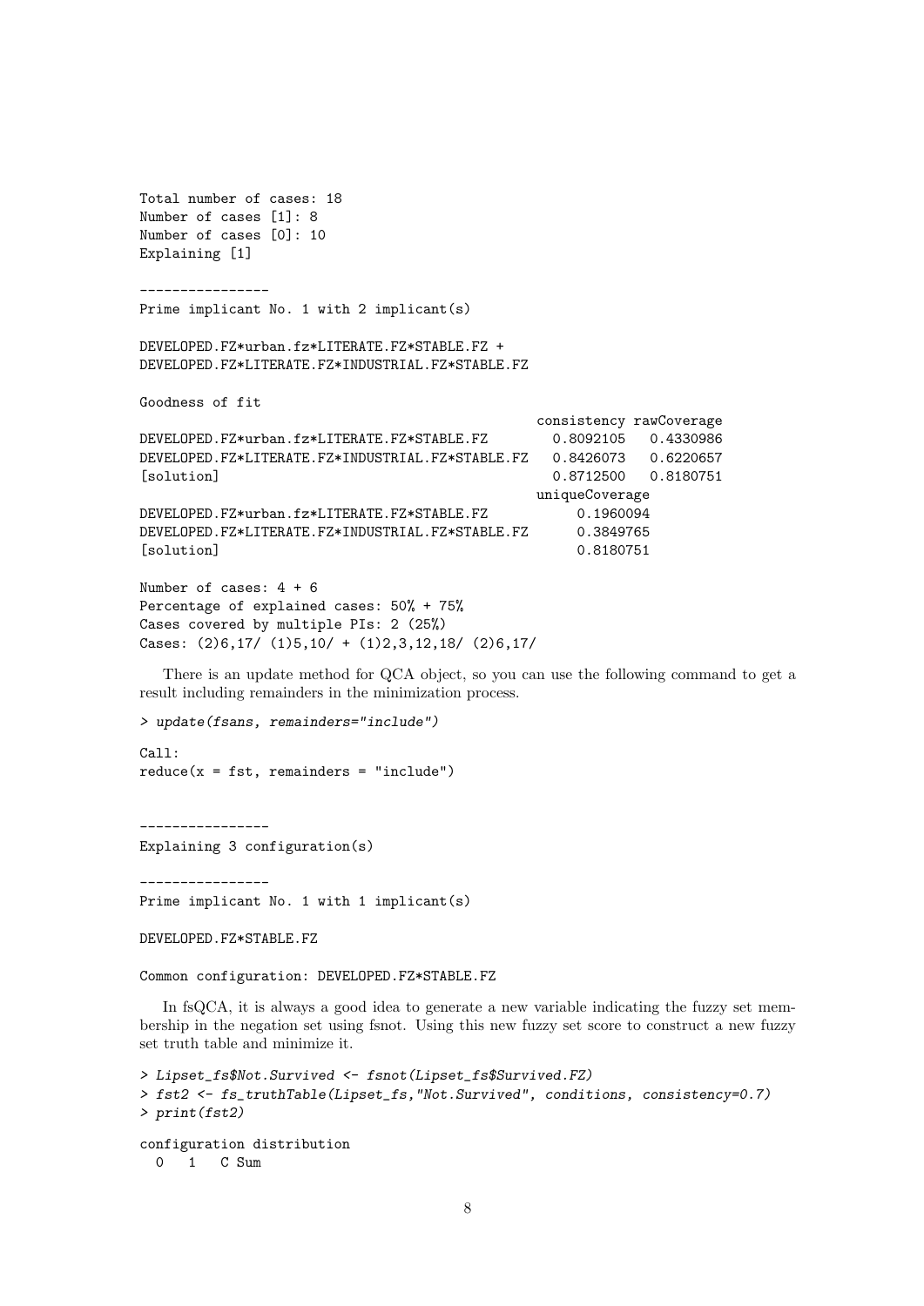```
Total number of cases: 18
Number of cases [1]: 8
Number of cases [0]: 10
Explaining [1]
----------------
Prime implicant No. 1 with 2 implicant(s)
DEVELOPED.FZ*urban.fz*LITERATE.FZ*STABLE.FZ +
DEVELOPED.FZ*LITERATE.FZ*INDUSTRIAL.FZ*STABLE.FZ
Goodness of fit
                                             consistency rawCoverage
DEVELOPED.FZ*urban.fz*LITERATE.FZ*STABLE.FZ 0.8092105 0.4330986
DEVELOPED.FZ*LITERATE.FZ*INDUSTRIAL.FZ*STABLE.FZ 0.8426073 0.6220657
[solution] 0.8712500 0.8180751
                                             uniqueCoverage
DEVELOPED.FZ*urban.fz*LITERATE.FZ*STABLE.FZ 0.1960094
DEVELOPED.FZ*LITERATE.FZ*INDUSTRIAL.FZ*STABLE.FZ 0.3849765
[solution]
Number of cases: 4 + 6
Percentage of explained cases: 50% + 75%
Cases covered by multiple PIs: 2 (25%)
Cases: (2)6,17/ (1)5,10/ + (1)2,3,12,18/ (2)6,17/
```
There is an update method for QCA object, so you can use the following command to get a result including remainders in the minimization process.

```
> update(fsans, remainders="include")
Call:
```
 $reduce(x = fst, remainders = "include")$ 

---------------- Explaining 3 configuration(s)

---------------- Prime implicant No. 1 with 1 implicant(s)

DEVELOPED.FZ\*STABLE.FZ

Common configuration: DEVELOPED.FZ\*STABLE.FZ

In fsQCA, it is always a good idea to generate a new variable indicating the fuzzy set membership in the negation set using fsnot. Using this new fuzzy set score to construct a new fuzzy set truth table and minimize it.

```
> Lipset_fs$Not.Survived <- fsnot(Lipset_fs$Survived.FZ)
> fst2 <- fs_truthTable(Lipset_fs,"Not.Survived", conditions, consistency=0.7)
> print(fst2)
configuration distribution
 0 1 C Sum
```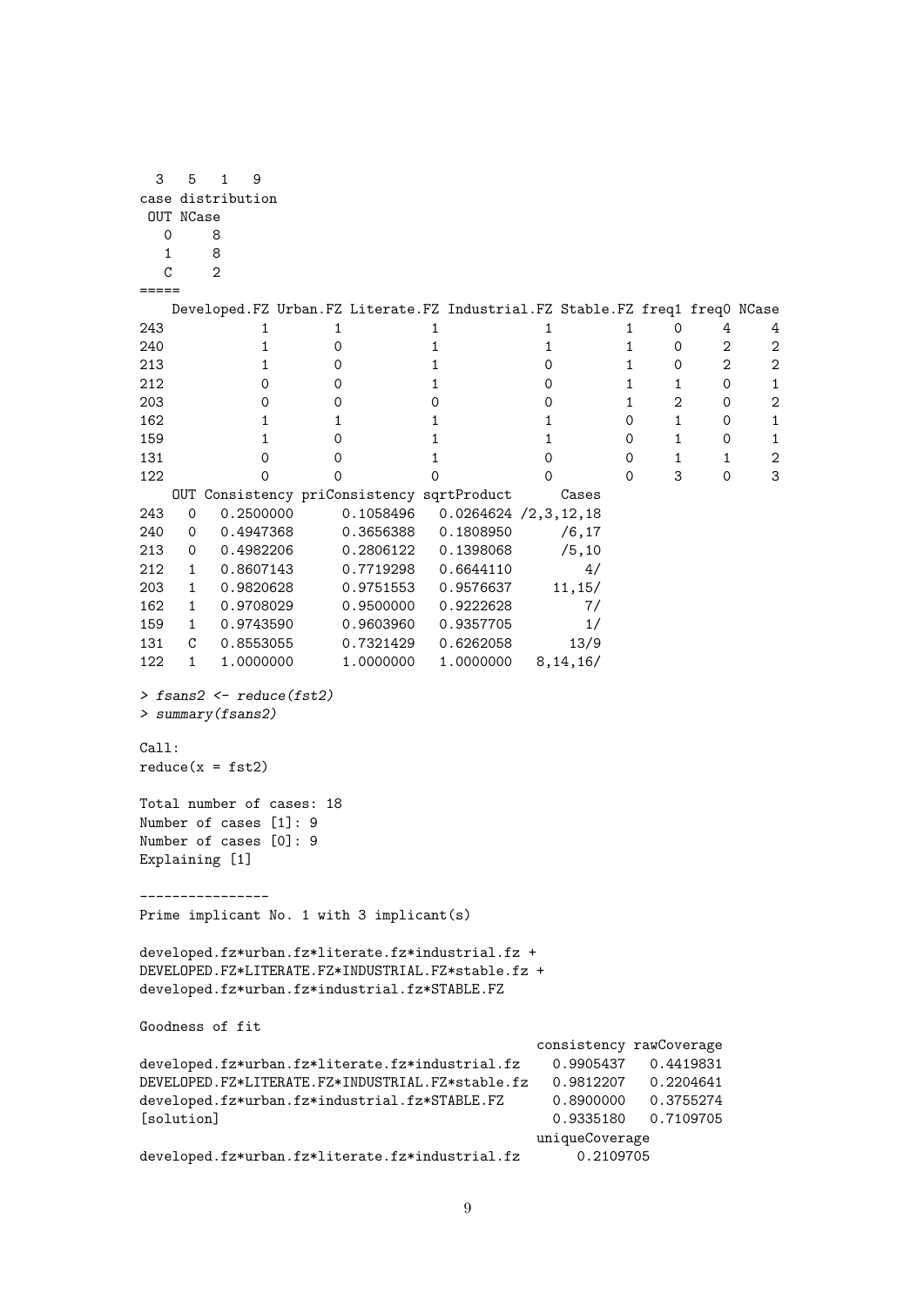3 5 1 9 case distribution OUT NCase 0 8 1 8  $C \qquad 2$  $-----$ Developed.FZ Urban.FZ Literate.FZ Industrial.FZ Stable.FZ freq1 freq0 NCase 243 1 1 1 1 1 0 4 4 240 1 0 1 1 1 0 2 2 213 1 0 1 0 1 0 2 2 212 0 0 0 1 0 1 1 0 1 203 0 0 0 0 0 1 2 0 2 162 1 1 1 1 1 0 1 0 1 159 1 0 1 1 0 1 0 1 131 0 0 0 1 0 0 1 1 2 122 0 0 0 0 0 0 3 0 3 OUT Consistency priConsistency sqrtProduct Cases 243 0 0.2500000 0.1058496 0.0264624 /2,3,12,18 240 0 0.4947368 0.3656388 0.1808950 /6,17<br>213 0 0.4982206 0.2806122 0.1398068 /5,10 0.2806122 0.1398068 /5,10 212 1 0.8607143 0.7719298 0.6644110 4/ 203 1 0.9820628 0.9751553 0.9576637 11,15/ 162 1 0.9708029 0.9500000 0.9222628 7/ 159 1 0.9743590 0.9603960 0.9357705 1/<br>131 C 0.8553055 0.7321429 0.6262058 13/9 131 C 0.8553055 0.7321429 0.6262058 13/9 122 1 1.0000000 1.0000000 1.0000000 8,14,16/ > fsans2 <- reduce(fst2) > summary(fsans2) Call:  $reduce(x = fst2)$ Total number of cases: 18 Number of cases [1]: 9 Number of cases [0]: 9 Explaining [1] ---------------- Prime implicant No. 1 with 3 implicant(s) developed.fz\*urban.fz\*literate.fz\*industrial.fz + DEVELOPED.FZ\*LITERATE.FZ\*INDUSTRIAL.FZ\*stable.fz + developed.fz\*urban.fz\*industrial.fz\*STABLE.FZ Goodness of fit consistency rawCoverage developed.fz\*urban.fz\*literate.fz\*industrial.fz 0.9905437 0.4419831 DEVELOPED.FZ\*LITERATE.FZ\*INDUSTRIAL.FZ\*stable.fz 0.9812207 0.2204641 developed.fz\*urban.fz\*industrial.fz\*STABLE.FZ 0.8900000 0.3755274 [solution] 0.9335180 0.7109705 uniqueCoverage developed.fz\*urban.fz\*literate.fz\*industrial.fz 0.2109705